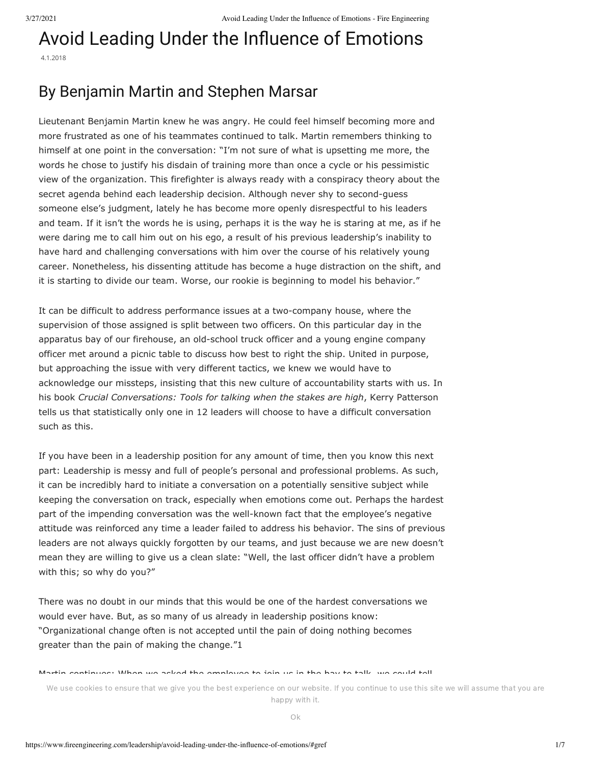# Avoid Leading Under the Influence of Emotions

4.1.2018

## By Benjamin Martin and Stephen Marsar

Lieutenant Benjamin Martin knew he was angry. He could feel himself becoming more and more frustrated as one of his teammates continued to talk. Martin remembers thinking to himself at one point in the conversation: "I'm not sure of what is upsetting me more, the words he chose to justify his disdain of training more than once a cycle or his pessimistic view of the organization. This firefighter is always ready with a conspiracy theory about the secret agenda behind each leadership decision. Although never shy to second-guess someone else's judgment, lately he has become more openly disrespectful to his leaders and team. If it isn't the words he is using, perhaps it is the way he is staring at me, as if he were daring me to call him out on his ego, a result of his previous leadership's inability to have hard and challenging conversations with him over the course of his relatively young career. Nonetheless, his dissenting attitude has become a huge distraction on the shift, and it is starting to divide our team. Worse, our rookie is beginning to model his behavior."

It can be difficult to address performance issues at a two-company house, where the supervision of those assigned is split between two officers. On this particular day in the apparatus bay of our firehouse, an old-school truck officer and a young engine company officer met around a picnic table to discuss how best to right the ship. United in purpose, but approaching the issue with very different tactics, we knew we would have to acknowledge our missteps, insisting that this new culture of accountability starts with us. In his book *Crucial Conversations: Tools for talking when the stakes are high*, Kerry Patterson tells us that statistically only one in 12 leaders will choose to have a difficult conversation such as this.

If you have been in a leadership position for any amount of time, then you know this next part: Leadership is messy and full of people's personal and professional problems. As such, it can be incredibly hard to initiate a conversation on a potentially sensitive subject while keeping the conversation on track, especially when emotions come out. Perhaps the hardest part of the impending conversation was the well-known fact that the employee's negative attitude was reinforced any time a leader failed to address his behavior. The sins of previous leaders are not always quickly forgotten by our teams, and just because we are new doesn't mean they are willing to give us a clean slate: "Well, the last officer didn't have a problem with this; so why do you?"

There was no doubt in our minds that this would be one of the hardest conversations we would ever have. But, as so many of us already in leadership positions know: "Organizational change often is not accepted until the pain of doing nothing becomes greater than the pain of making the change."1

Martin continues: When we asked the employee to join us in the bay to talk, we could tell

We use cookies to ensure that we give you the best experience on our website. If you continue to use this site we will assume that you are happy with it. happy with it.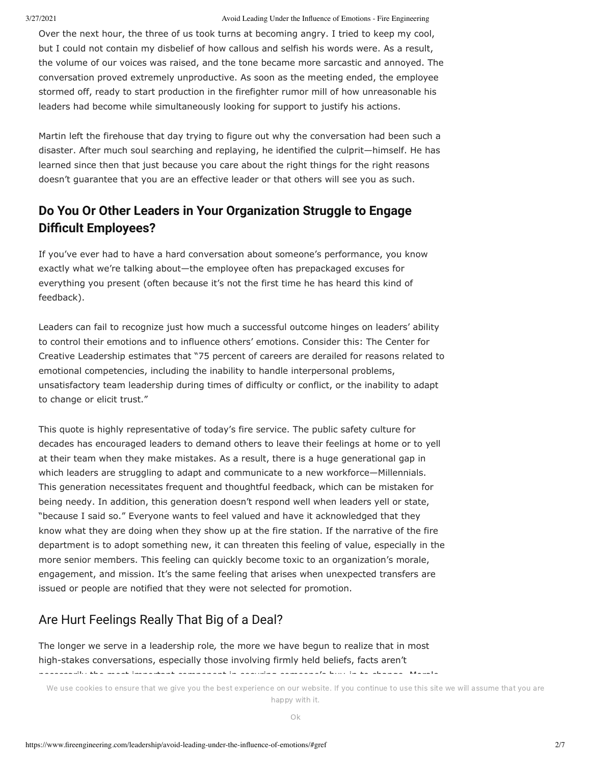Over the next hour, the three of us took turns at becoming angry. I tried to keep my cool, but I could not contain my disbelief of how callous and selfish his words were. As a result, the volume of our voices was raised, and the tone became more sarcastic and annoyed. The conversation proved extremely unproductive. As soon as the meeting ended, the employee stormed off, ready to start production in the firefighter rumor mill of how unreasonable his leaders had become while simultaneously looking for support to justify his actions.

Martin left the firehouse that day trying to figure out why the conversation had been such a disaster. After much soul searching and replaying, he identified the culprit—himself. He has learned since then that just because you care about the right things for the right reasons doesn't guarantee that you are an effective leader or that others will see you as such.

#### **Do You Or Other Leaders in Your Organization Struggle to Engage Difficult Employees?**

If you've ever had to have a hard conversation about someone's performance, you know exactly what we're talking about—the employee often has prepackaged excuses for everything you present (often because it's not the first time he has heard this kind of feedback).

Leaders can fail to recognize just how much a successful outcome hinges on leaders' ability to control their emotions and to influence others' emotions. Consider this: The Center for Creative Leadership estimates that "75 percent of careers are derailed for reasons related to emotional competencies, including the inability to handle interpersonal problems, unsatisfactory team leadership during times of difficulty or conflict, or the inability to adapt to change or elicit trust."

This quote is highly representative of today's fire service. The public safety culture for decades has encouraged leaders to demand others to leave their feelings at home or to yell at their team when they make mistakes. As a result, there is a huge generational gap in which leaders are struggling to adapt and communicate to a new workforce—Millennials. This generation necessitates frequent and thoughtful feedback, which can be mistaken for being needy. In addition, this generation doesn't respond well when leaders yell or state, "because I said so." Everyone wants to feel valued and have it acknowledged that they know what they are doing when they show up at the fire station. If the narrative of the fire department is to adopt something new, it can threaten this feeling of value, especially in the more senior members. This feeling can quickly become toxic to an organization's morale, engagement, and mission. It's the same feeling that arises when unexpected transfers are issued or people are notified that they were not selected for promotion.

#### Are Hurt Feelings Really That Big of a Deal?

The longer we serve in a leadership role*,* the more we have begun to realize that in most high-stakes conversations, especially those involving firmly held beliefs, facts aren't

necessarily the most important component in securing someone's buy-in to change. Morale

We use cookies to ensure that we give you the best experience on our website. If you continue to use this site we will assume that you are  $m_{\rm H}$  the situation turns for the worse, its members as the worse, its members are the members are the members are the worse, it is members as the members are the members are the members are the members are the members happy with it.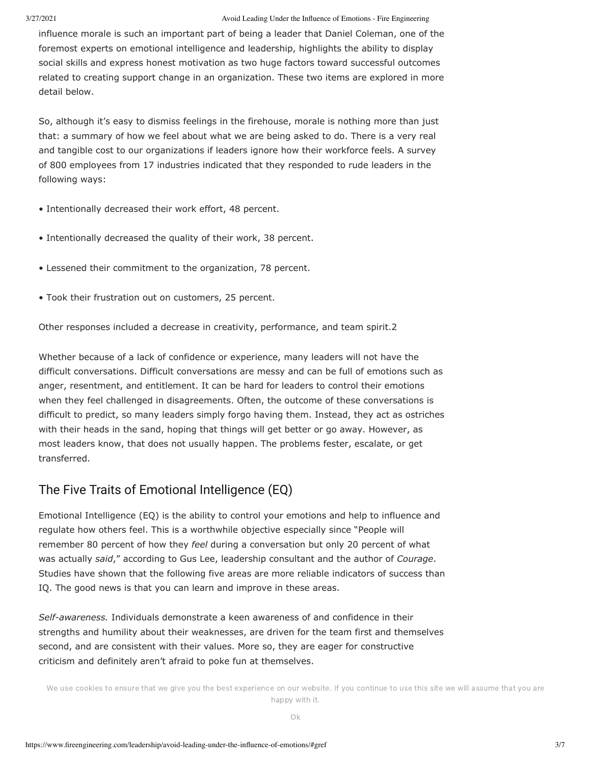influence morale is such an important part of being a leader that Daniel Coleman, one of the foremost experts on emotional intelligence and leadership, highlights the ability to display social skills and express honest motivation as two huge factors toward successful outcomes related to creating support change in an organization. These two items are explored in more detail below.

So, although it's easy to dismiss feelings in the firehouse, morale is nothing more than just that: a summary of how we feel about what we are being asked to do. There is a very real and tangible cost to our organizations if leaders ignore how their workforce feels. A survey of 800 employees from 17 industries indicated that they responded to rude leaders in the following ways:

- Intentionally decreased their work effort, 48 percent.
- Intentionally decreased the quality of their work, 38 percent.
- Lessened their commitment to the organization, 78 percent.
- Took their frustration out on customers, 25 percent.

Other responses included a decrease in creativity, performance, and team spirit.2

Whether because of a lack of confidence or experience, many leaders will not have the difficult conversations. Difficult conversations are messy and can be full of emotions such as anger, resentment, and entitlement. It can be hard for leaders to control their emotions when they feel challenged in disagreements. Often, the outcome of these conversations is difficult to predict, so many leaders simply forgo having them. Instead, they act as ostriches with their heads in the sand, hoping that things will get better or go away. However, as most leaders know, that does not usually happen. The problems fester, escalate, or get transferred.

#### The Five Traits of Emotional Intelligence (EQ)

Emotional Intelligence (EQ) is the ability to control your emotions and help to influence and regulate how others feel. This is a worthwhile objective especially since "People will remember 80 percent of how they *feel* during a conversation but only 20 percent of what was actually *said*," according to Gus Lee, leadership consultant and the author of *Courage*. Studies have shown that the following five areas are more reliable indicators of success than IQ. The good news is that you can learn and improve in these areas.

*Self-awareness.* Individuals demonstrate a keen awareness of and confidence in their strengths and humility about their weaknesses, are driven for the team first and themselves second, and are consistent with their values. More so, they are eager for constructive criticism and definitely aren't afraid to poke fun at themselves.

We use cookies to ensure that we give you the best experience on our website. If you continue to use this site we will assume that you are  $mappy$  with  $\pi$ . happy with it.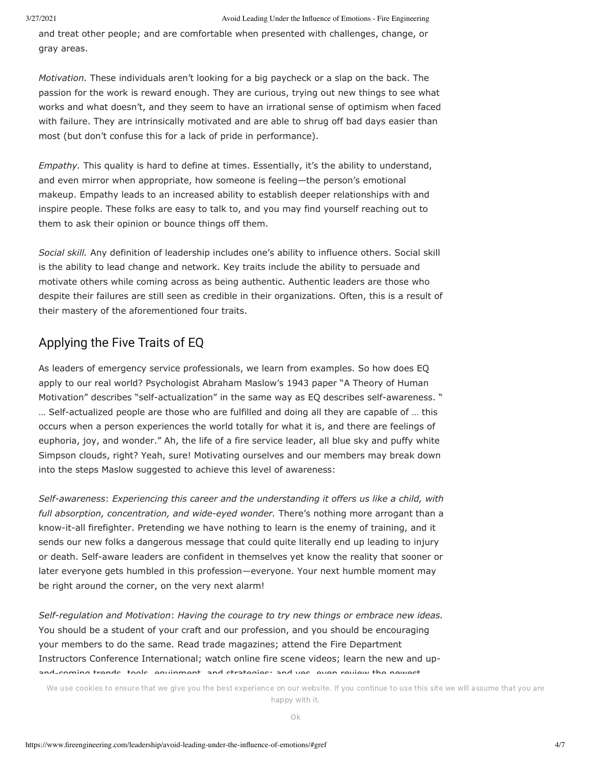and treat other people; and are comfortable when presented with challenges, change, or gray areas.

*Motivation.* These individuals aren't looking for a big paycheck or a slap on the back. The passion for the work is reward enough. They are curious, trying out new things to see what works and what doesn't, and they seem to have an irrational sense of optimism when faced with failure. They are intrinsically motivated and are able to shrug off bad days easier than most (but don't confuse this for a lack of pride in performance).

*Empathy.* This quality is hard to define at times. Essentially, it's the ability to understand, and even mirror when appropriate, how someone is feeling—the person's emotional makeup. Empathy leads to an increased ability to establish deeper relationships with and inspire people. These folks are easy to talk to, and you may find yourself reaching out to them to ask their opinion or bounce things off them.

*Social skill.* Any definition of leadership includes one's ability to influence others. Social skill is the ability to lead change and network. Key traits include the ability to persuade and motivate others while coming across as being authentic. Authentic leaders are those who despite their failures are still seen as credible in their organizations. Often, this is a result of their mastery of the aforementioned four traits.

### Applying the Five Traits of EQ

As leaders of emergency service professionals, we learn from examples. So how does EQ apply to our real world? Psychologist Abraham Maslow's 1943 paper "A Theory of Human Motivation" describes "self-actualization" in the same way as EQ describes self-awareness. " … Self-actualized people are those who are fulfilled and doing all they are capable of … this occurs when a person experiences the world totally for what it is, and there are feelings of euphoria, joy, and wonder." Ah, the life of a fire service leader, all blue sky and puffy white Simpson clouds, right? Yeah, sure! Motivating ourselves and our members may break down into the steps Maslow suggested to achieve this level of awareness:

*Self-awareness*: *Experiencing this career and the understanding it offers us like a child, with full absorption, concentration, and wide-eyed wonder.* There's nothing more arrogant than a know-it-all firefighter. Pretending we have nothing to learn is the enemy of training, and it sends our new folks a dangerous message that could quite literally end up leading to injury or death. Self-aware leaders are confident in themselves yet know the reality that sooner or later everyone gets humbled in this profession—everyone. Your next humble moment may be right around the corner, on the very next alarm!

*Self-regulation and Motivation*: *Having the courage to try new things or embrace new ideas.* You should be a student of your craft and our profession, and you should be encouraging your members to do the same. Read trade magazines; attend the Fire Department Instructors Conference International; watch online fire scene videos; learn the new and upand-coming trends, tools, equipment, and strategies; and yes, even review the newest

We use cookies to ensure that we give you the best experience on our website. If you continue to use this site we will assume that you are happy with it. happy with it.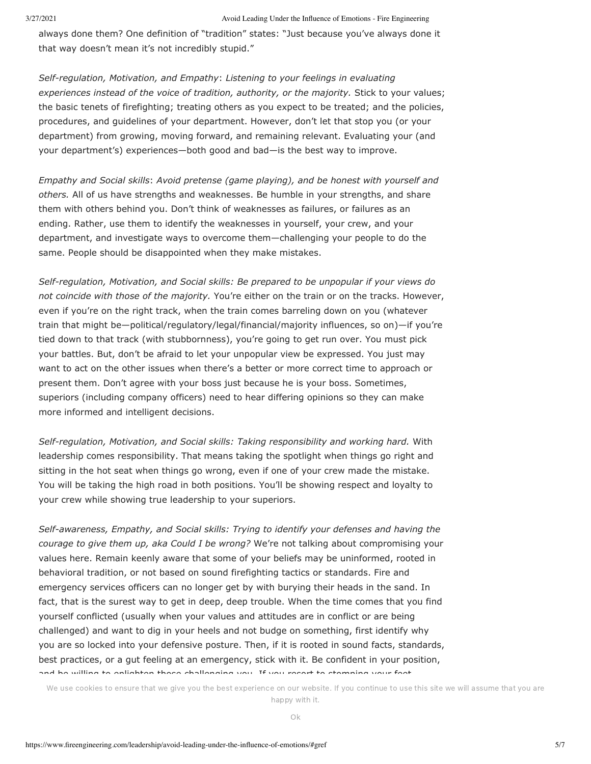always done them? One definition of "tradition" states: "Just because you've always done it that way doesn't mean it's not incredibly stupid."

*Self-regulation, Motivation, and Empathy*: *Listening to your feelings in evaluating experiences instead of the voice of tradition, authority, or the majority.* Stick to your values; the basic tenets of firefighting; treating others as you expect to be treated; and the policies, procedures, and guidelines of your department. However, don't let that stop you (or your department) from growing, moving forward, and remaining relevant. Evaluating your (and your department's) experiences—both good and bad—is the best way to improve.

*Empathy and Social skills*: *Avoid pretense (game playing), and be honest with yourself and others.* All of us have strengths and weaknesses. Be humble in your strengths, and share them with others behind you. Don't think of weaknesses as failures, or failures as an ending. Rather, use them to identify the weaknesses in yourself, your crew, and your department, and investigate ways to overcome them—challenging your people to do the same. People should be disappointed when they make mistakes.

*Self-regulation, Motivation, and Social skills: Be prepared to be unpopular if your views do not coincide with those of the majority.* You're either on the train or on the tracks. However, even if you're on the right track, when the train comes barreling down on you (whatever train that might be—political/regulatory/legal/financial/majority influences, so on)—if you're tied down to that track (with stubbornness), you're going to get run over. You must pick your battles. But, don't be afraid to let your unpopular view be expressed. You just may want to act on the other issues when there's a better or more correct time to approach or present them. Don't agree with your boss just because he is your boss. Sometimes, superiors (including company officers) need to hear differing opinions so they can make more informed and intelligent decisions.

*Self-regulation, Motivation, and Social skills: Taking responsibility and working hard.* With leadership comes responsibility. That means taking the spotlight when things go right and sitting in the hot seat when things go wrong, even if one of your crew made the mistake. You will be taking the high road in both positions. You'll be showing respect and loyalty to your crew while showing true leadership to your superiors.

*Self-awareness, Empathy, and Social skills: Trying to identify your defenses and having the courage to give them up, aka Could I be wrong?* We're not talking about compromising your values here. Remain keenly aware that some of your beliefs may be uninformed, rooted in behavioral tradition, or not based on sound firefighting tactics or standards. Fire and emergency services officers can no longer get by with burying their heads in the sand. In fact, that is the surest way to get in deep, deep trouble. When the time comes that you find yourself conflicted (usually when your values and attitudes are in conflict or are being challenged) and want to dig in your heels and not budge on something, first identify why you are so locked into your defensive posture. Then, if it is rooted in sound facts, standards, best practices, or a gut feeling at an emergency, stick with it. Be confident in your position, and be willing to enlighten those challenging you. If you resort to stomping your feet

We use cookies to ensure that we give you the best experience on our website. If you continue to use this site we will assume that you are happy with it. happy with it.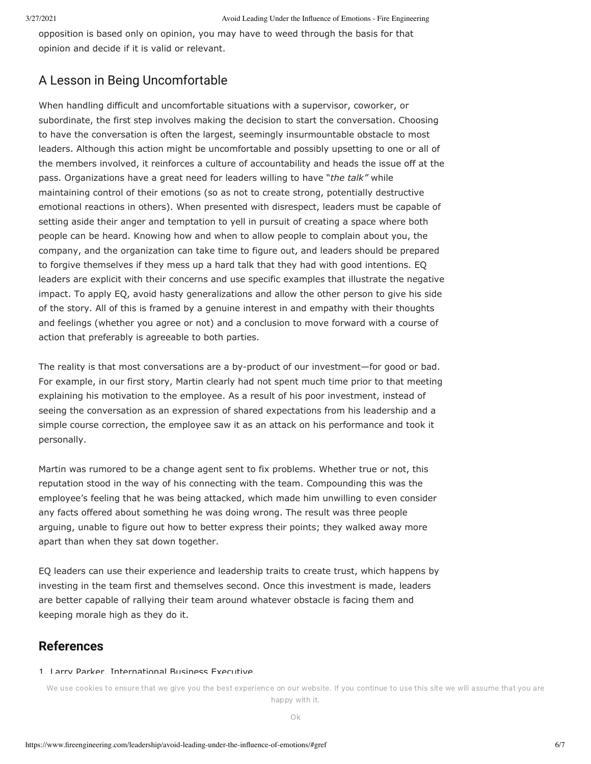opposition is based only on opinion, you may have to weed through the basis for that opinion and decide if it is valid or relevant.

#### A Lesson in Being Uncomfortable

When handling difficult and uncomfortable situations with a supervisor, coworker, or subordinate, the first step involves making the decision to start the conversation. Choosing to have the conversation is often the largest, seemingly insurmountable obstacle to most leaders. Although this action might be uncomfortable and possibly upsetting to one or all of the members involved, it reinforces a culture of accountability and heads the issue off at the pass. Organizations have a great need for leaders willing to have "*the talk"* while maintaining control of their emotions (so as not to create strong, potentially destructive emotional reactions in others). When presented with disrespect, leaders must be capable of setting aside their anger and temptation to yell in pursuit of creating a space where both people can be heard. Knowing how and when to allow people to complain about you, the company, and the organization can take time to figure out, and leaders should be prepared to forgive themselves if they mess up a hard talk that they had with good intentions. EQ leaders are explicit with their concerns and use specific examples that illustrate the negative impact. To apply EQ, avoid hasty generalizations and allow the other person to give his side of the story. All of this is framed by a genuine interest in and empathy with their thoughts and feelings (whether you agree or not) and a conclusion to move forward with a course of action that preferably is agreeable to both parties.

The reality is that most conversations are a by-product of our investment—for good or bad. For example, in our first story, Martin clearly had not spent much time prior to that meeting explaining his motivation to the employee. As a result of his poor investment, instead of seeing the conversation as an expression of shared expectations from his leadership and a simple course correction, the employee saw it as an attack on his performance and took it personally.

Martin was rumored to be a change agent sent to fix problems. Whether true or not, this reputation stood in the way of his connecting with the team. Compounding this was the employee's feeling that he was being attacked, which made him unwilling to even consider any facts offered about something he was doing wrong. The result was three people arguing, unable to figure out how to better express their points; they walked away more apart than when they sat down together.

EQ leaders can use their experience and leadership traits to create trust, which happens by investing in the team first and themselves second. Once this investment is made, leaders are better capable of rallying their team around whatever obstacle is facing them and keeping morale high as they do it.

#### **References**

#### 1. Larry Parker, International Business Executive.

2. Porath and Pearson, Harvard Business Review, 2013. We use cookies to ensure that we give you the best experience on our website. If you continue to use this site we will assume that you are happy with it.